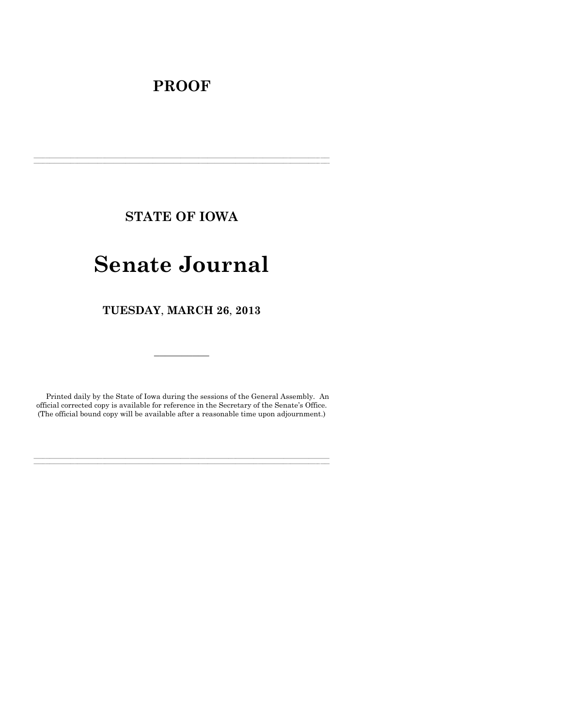# **PROOF**

**STATE OF IOWA**

**\_\_\_\_\_\_\_\_\_\_\_\_\_\_\_\_\_\_\_\_\_\_\_\_\_\_\_\_\_\_\_\_\_\_\_\_\_\_\_\_\_\_\_\_\_\_\_\_\_\_\_\_\_\_\_\_\_\_\_\_\_\_\_\_\_\_\_\_\_\_\_\_\_\_\_\_\_\_\_\_\_\_\_\_\_\_\_\_\_\_\_\_\_\_\_\_\_\_\_\_\_\_\_\_\_\_\_\_\_\_\_\_\_\_\_\_\_\_\_\_\_\_\_\_\_\_\_\_\_ \_\_\_\_\_\_\_\_\_\_\_\_\_\_\_\_\_\_\_\_\_\_\_\_\_\_\_\_\_\_\_\_\_\_\_\_\_\_\_\_\_\_\_\_\_\_\_\_\_\_\_\_\_\_\_\_\_\_\_\_\_\_\_\_\_\_\_\_\_\_\_\_\_\_\_\_\_\_\_\_\_\_\_\_\_\_\_\_\_\_\_\_\_\_\_\_\_\_\_\_\_\_\_\_\_\_\_\_\_\_\_\_\_\_\_\_\_\_\_\_\_\_\_\_\_\_\_\_\_**

# **Senate Journal**

**TUESDAY**, **MARCH 26**, **2013**

Printed daily by the State of Iowa during the sessions of the General Assembly. An official corrected copy is available for reference in the Secretary of the Senate's Office. (The official bound copy will be available after a reasonable time upon adjournment.)

**\_\_\_\_\_\_\_\_\_\_\_\_\_\_\_\_\_\_\_\_\_\_\_\_\_\_\_\_\_\_\_\_\_\_\_\_\_\_\_\_\_\_\_\_\_\_\_\_\_\_\_\_\_\_\_\_\_\_\_\_\_\_\_\_\_\_\_\_\_\_\_\_\_\_\_\_\_\_\_\_\_\_\_\_\_\_\_\_\_\_\_\_\_\_\_\_\_\_\_\_\_\_\_\_\_\_\_\_\_\_\_\_\_\_\_\_\_\_\_\_\_\_\_\_\_\_\_\_\_ \_\_\_\_\_\_\_\_\_\_\_\_\_\_\_\_\_\_\_\_\_\_\_\_\_\_\_\_\_\_\_\_\_\_\_\_\_\_\_\_\_\_\_\_\_\_\_\_\_\_\_\_\_\_\_\_\_\_\_\_\_\_\_\_\_\_\_\_\_\_\_\_\_\_\_\_\_\_\_\_\_\_\_\_\_\_\_\_\_\_\_\_\_\_\_\_\_\_\_\_\_\_\_\_\_\_\_\_\_\_\_\_\_\_\_\_\_\_\_\_\_\_\_\_\_\_\_\_\_**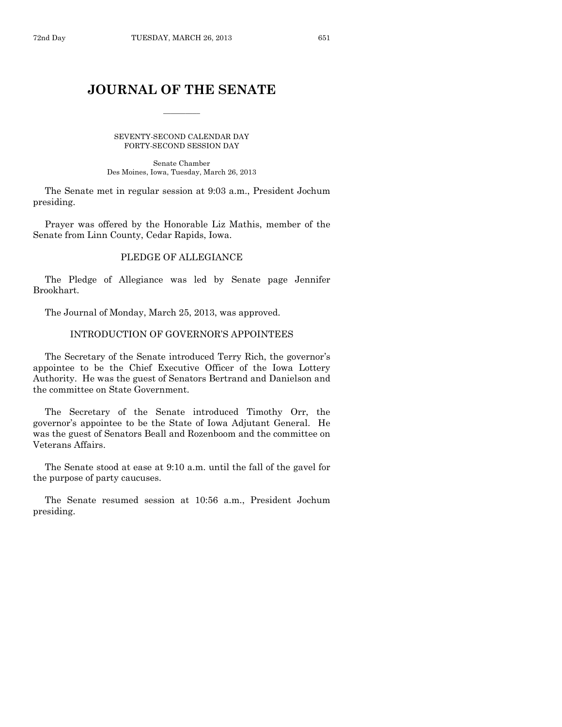# **JOURNAL OF THE SENATE**

 $\overline{\phantom{a}}$ 

SEVENTY-SECOND CALENDAR DAY FORTY-SECOND SESSION DAY

Senate Chamber Des Moines, Iowa, Tuesday, March 26, 2013

The Senate met in regular session at 9:03 a.m., President Jochum presiding.

Prayer was offered by the Honorable Liz Mathis, member of the Senate from Linn County, Cedar Rapids, Iowa.

# PLEDGE OF ALLEGIANCE

The Pledge of Allegiance was led by Senate page Jennifer Brookhart.

The Journal of Monday, March 25, 2013, was approved.

#### INTRODUCTION OF GOVERNOR'S APPOINTEES

The Secretary of the Senate introduced Terry Rich, the governor's appointee to be the Chief Executive Officer of the Iowa Lottery Authority. He was the guest of Senators Bertrand and Danielson and the committee on State Government.

The Secretary of the Senate introduced Timothy Orr, the governor's appointee to be the State of Iowa Adjutant General. He was the guest of Senators Beall and Rozenboom and the committee on Veterans Affairs.

The Senate stood at ease at 9:10 a.m. until the fall of the gavel for the purpose of party caucuses.

The Senate resumed session at 10:56 a.m., President Jochum presiding.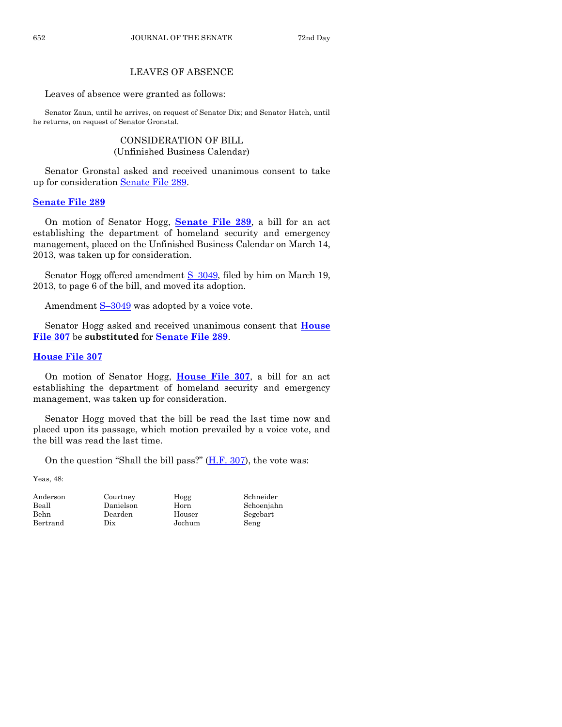# LEAVES OF ABSENCE

Leaves of absence were granted as follows:

Senator Zaun, until he arrives, on request of Senator Dix; and Senator Hatch, until he returns, on request of Senator Gronstal.

# CONSIDERATION OF BILL (Unfinished Business Calendar)

Senator Gronstal asked and received unanimous consent to take up for consideration [Senate File 289.](http://coolice.legis.state.ia.us/Cool-ICE/default.asp?Category=billinfo&Service=Billbook&frame=1&GA=85&hbill=SF289)

# **[Senate File 289](http://coolice.legis.state.ia.us/Cool-ICE/default.asp?Category=billinfo&Service=Billbook&frame=1&GA=85&hbill=SF289)**

On motion of Senator Hogg, **[Senate File 289](http://coolice.legis.state.ia.us/Cool-ICE/default.asp?Category=billinfo&Service=Billbook&frame=1&GA=85&hbill=SF289)**, a bill for an act establishing the department of homeland security and emergency management, placed on the Unfinished Business Calendar on March 14, 2013, was taken up for consideration.

Senator Hogg offered amendment S-[3049,](http://coolice.legis.state.ia.us/Cool-ICE/default.asp?Category=billinfo&Service=Billbook&frame=1&GA=85&hbill=S3049) filed by him on March 19, 2013, to page 6 of the bill, and moved its adoption.

Amendment  $S-3049$  $S-3049$  was adopted by a voice vote.

Senator Hogg asked and received unanimous consent that **[House](http://coolice.legis.state.ia.us/Cool-ICE/default.asp?Category=billinfo&Service=Billbook&frame=1&GA=85&hbill=HF307)  [File 307](http://coolice.legis.state.ia.us/Cool-ICE/default.asp?Category=billinfo&Service=Billbook&frame=1&GA=85&hbill=HF307)** be **substituted** for **[Senate File 289](http://coolice.legis.state.ia.us/Cool-ICE/default.asp?Category=billinfo&Service=Billbook&frame=1&GA=85&hbill=SF289)**.

# **[House File 307](http://coolice.legis.state.ia.us/Cool-ICE/default.asp?Category=billinfo&Service=Billbook&frame=1&GA=85&hbill=HF307)**

On motion of Senator Hogg, **[House File 307](http://coolice.legis.state.ia.us/Cool-ICE/default.asp?Category=billinfo&Service=Billbook&frame=1&GA=85&hbill=HF307)**, a bill for an act establishing the department of homeland security and emergency management, was taken up for consideration.

Senator Hogg moved that the bill be read the last time now and placed upon its passage, which motion prevailed by a voice vote, and the bill was read the last time.

On the question "Shall the bill pass?" [\(H.F. 307\)](http://coolice.legis.state.ia.us/Cool-ICE/default.asp?Category=billinfo&Service=Billbook&frame=1&GA=85&hbill=HF307), the vote was:

Yeas, 48:

Bertrand Dix Jochum Seng

Anderson Courtney Hogg Schneider Behn Dearden Houser Segebart

Beall Danielson Horn Schoenjahn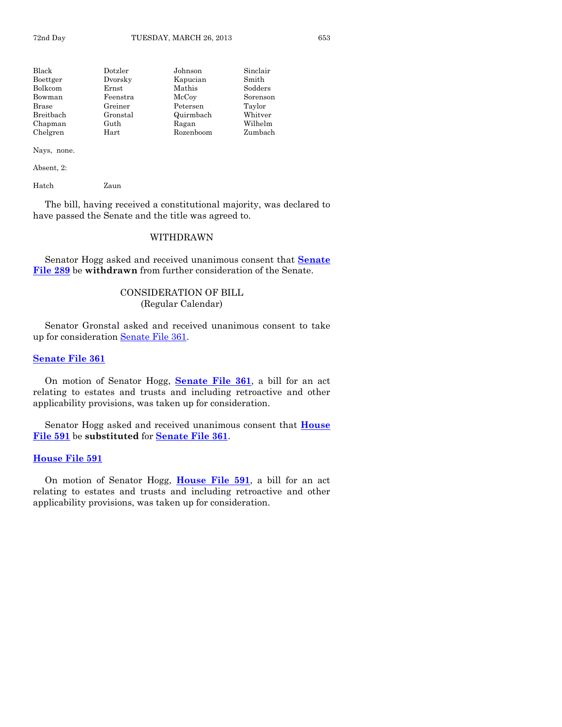| Black     | Dotzler  | Johnson   | Sinclair |
|-----------|----------|-----------|----------|
| Boettger  | Dvorsky  | Kapucian  | Smith    |
| Bolkcom   | Ernst    | Mathis    | Sodders  |
| Bowman    | Feenstra | McCoy     | Sorenson |
| Brase     | Greiner  | Petersen  | Taylor   |
| Breitbach | Gronstal | Quirmbach | Whitver  |
| Chapman   | Guth     | Ragan     | Wilhelm  |
| Chelgren  | Hart     | Rozenboom | Zumbach  |

Nays, none.

Absent, 2:

Hatch Zaun

The bill, having received a constitutional majority, was declared to have passed the Senate and the title was agreed to.

#### WITHDRAWN

Senator Hogg asked and received unanimous consent that **[Senate](http://coolice.legis.state.ia.us/Cool-ICE/default.asp?Category=billinfo&Service=Billbook&frame=1&GA=85&hbill=SF289)  [File 289](http://coolice.legis.state.ia.us/Cool-ICE/default.asp?Category=billinfo&Service=Billbook&frame=1&GA=85&hbill=SF289)** be **withdrawn** from further consideration of the Senate.

# CONSIDERATION OF BILL (Regular Calendar)

Senator Gronstal asked and received unanimous consent to take up for consideration [Senate File 361.](http://coolice.legis.state.ia.us/Cool-ICE/default.asp?Category=billinfo&Service=Billbook&frame=1&GA=85&hbill=SF361)

#### **[Senate File 361](http://coolice.legis.state.ia.us/Cool-ICE/default.asp?Category=billinfo&Service=Billbook&frame=1&GA=85&hbill=SF361)**

On motion of Senator Hogg, **[Senate File 361](http://coolice.legis.state.ia.us/Cool-ICE/default.asp?Category=billinfo&Service=Billbook&frame=1&GA=85&hbill=SF361)**, a bill for an act relating to estates and trusts and including retroactive and other applicability provisions, was taken up for consideration.

Senator Hogg asked and received unanimous consent that **[House](http://coolice.legis.state.ia.us/Cool-ICE/default.asp?Category=billinfo&Service=Billbook&frame=1&GA=85&hbill=HF591)  [File 591](http://coolice.legis.state.ia.us/Cool-ICE/default.asp?Category=billinfo&Service=Billbook&frame=1&GA=85&hbill=HF591)** be **substituted** for **[Senate File 361](http://coolice.legis.state.ia.us/Cool-ICE/default.asp?Category=billinfo&Service=Billbook&frame=1&GA=85&hbill=SF361)**.

#### **[House File 591](http://coolice.legis.state.ia.us/Cool-ICE/default.asp?Category=billinfo&Service=Billbook&frame=1&GA=85&hbill=HF591)**

On motion of Senator Hogg, **[House File 591](http://coolice.legis.state.ia.us/Cool-ICE/default.asp?Category=billinfo&Service=Billbook&frame=1&GA=85&hbill=HF591)**, a bill for an act relating to estates and trusts and including retroactive and other applicability provisions, was taken up for consideration.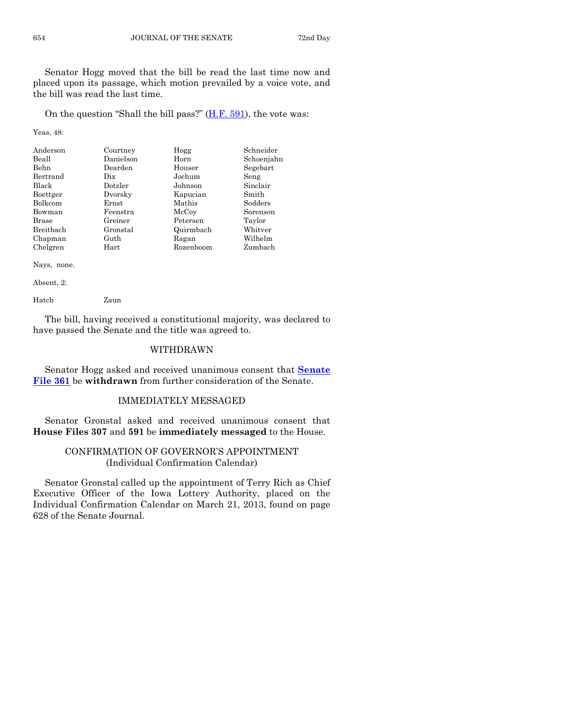Senator Hogg moved that the bill be read the last time now and placed upon its passage, which motion prevailed by a voice vote, and the bill was read the last time.

On the question "Shall the bill pass?"  $(H.F. 591)$ , the vote was:

Yeas, 48:

| Anderson     | Courtney  | Hogg      | Schneider  |
|--------------|-----------|-----------|------------|
| Beall        | Danielson | Horn      | Schoenjahn |
| <b>Behn</b>  | Dearden   | Houser    | Segebart   |
| Bertrand     | Dix       | Jochum    | Seng       |
| Black        | Dotzler   | Johnson   | Sinclair   |
| Boettger     | Dvorsky   | Kapucian  | Smith      |
| Bolkcom      | Ernst     | Mathis    | Sodders    |
| Bowman       | Feenstra  | McCoy     | Sorenson   |
| <b>Brase</b> | Greiner   | Petersen  | Taylor     |
| Breitbach    | Gronstal  | Quirmbach | Whitver    |
| Chapman      | Guth      | Ragan     | Wilhelm    |
| Chelgren     | Hart      | Rozenboom | Zumbach    |

Nays, none.

Absent, 2:

Hatch Zaun

The bill, having received a constitutional majority, was declared to have passed the Senate and the title was agreed to.

# WITHDRAWN

Senator Hogg asked and received unanimous consent that **[Senate](http://coolice.legis.state.ia.us/Cool-ICE/default.asp?Category=billinfo&Service=Billbook&frame=1&GA=85&hbill=SF361)  [File 361](http://coolice.legis.state.ia.us/Cool-ICE/default.asp?Category=billinfo&Service=Billbook&frame=1&GA=85&hbill=SF361)** be **withdrawn** from further consideration of the Senate.

# IMMEDIATELY MESSAGED

Senator Gronstal asked and received unanimous consent that **House Files 307** and **591** be **immediately messaged** to the House.

# CONFIRMATION OF GOVERNOR'S APPOINTMENT (Individual Confirmation Calendar)

Senator Gronstal called up the appointment of Terry Rich as Chief Executive Officer of the Iowa Lottery Authority, placed on the Individual Confirmation Calendar on March 21, 2013, found on page 628 of the Senate Journal.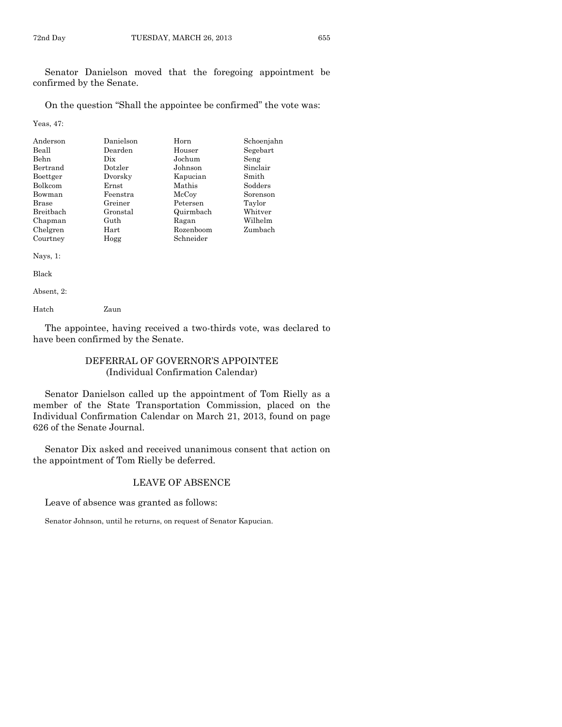Senator Danielson moved that the foregoing appointment be confirmed by the Senate.

On the question "Shall the appointee be confirmed" the vote was:

Yeas, 47:

| Anderson         | Danielson | Horn      | Schoenjahn |
|------------------|-----------|-----------|------------|
| Beall            | Dearden   | Houser    | Segebart   |
| Behn             | Dix       | Jochum    | Seng       |
| Bertrand         | Dotzler   | Johnson   | Sinclair   |
| Boettger         | Dvorsky   | Kapucian  | Smith      |
| <b>Bolkcom</b>   | Ernst     | Mathis    | Sodders    |
| Bowman           | Feenstra  | McCoy     | Sorenson   |
| <b>Brase</b>     | Greiner   | Petersen  | Taylor     |
| <b>Breithach</b> | Gronstal  | Quirmbach | Whitver    |
| Chapman          | Guth      | Ragan     | Wilhelm    |
| Chelgren         | Hart      | Rozenboom | Zumbach    |
| Courtney         | Hogg      | Schneider |            |
|                  |           |           |            |

Nays, 1:

Black

Absent, 2:

Hatch Zaun

The appointee, having received a two-thirds vote, was declared to have been confirmed by the Senate.

#### DEFERRAL OF GOVERNOR'S APPOINTEE (Individual Confirmation Calendar)

Senator Danielson called up the appointment of Tom Rielly as a member of the State Transportation Commission, placed on the Individual Confirmation Calendar on March 21, 2013, found on page 626 of the Senate Journal.

Senator Dix asked and received unanimous consent that action on the appointment of Tom Rielly be deferred.

### LEAVE OF ABSENCE

Leave of absence was granted as follows:

Senator Johnson, until he returns, on request of Senator Kapucian.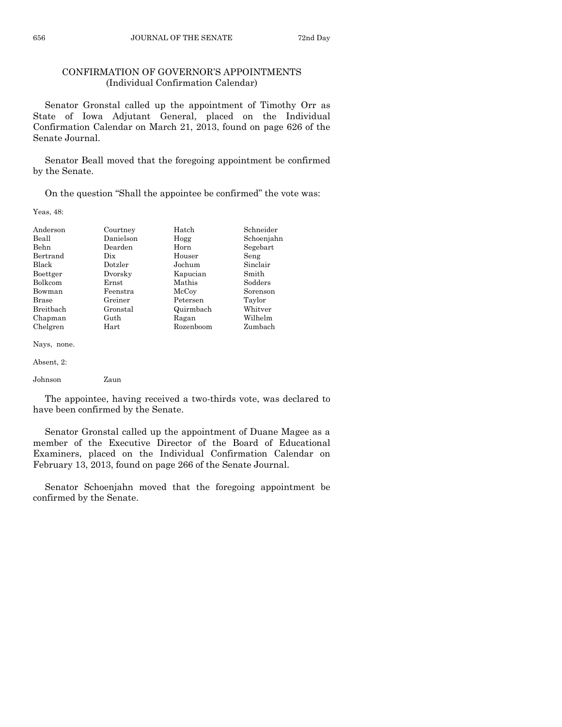# CONFIRMATION OF GOVERNOR'S APPOINTMENTS (Individual Confirmation Calendar)

Senator Gronstal called up the appointment of Timothy Orr as State of Iowa Adjutant General, placed on the Individual Confirmation Calendar on March 21, 2013, found on page 626 of the Senate Journal.

Senator Beall moved that the foregoing appointment be confirmed by the Senate.

On the question "Shall the appointee be confirmed" the vote was:

Yeas, 48:

| Anderson       | Courtney  | Hatch     | Schneider  |
|----------------|-----------|-----------|------------|
| Beall          | Danielson | Hogg      | Schoenjahn |
| <b>Behn</b>    | Dearden   | Horn      | Segebart   |
| Bertrand       | Dix       | Houser    | Seng       |
| <b>Black</b>   | Dotzler   | Jochum    | Sinclair   |
| Boettger       | Dvorsky   | Kapucian  | Smith      |
| <b>Bolkcom</b> | Ernst     | Mathis    | Sodders    |
| Bowman         | Feenstra  | McCoy     | Sorenson   |
| Brase          | Greiner   | Petersen  | Taylor     |
| Breitbach      | Gronstal  | Quirmbach | Whitver    |
| Chapman        | Guth      | Ragan     | Wilhelm    |
| Chelgren       | Hart      | Rozenboom | Zumbach    |

Nays, none.

The appointee, having received a two-thirds vote, was declared to have been confirmed by the Senate.

Senator Gronstal called up the appointment of Duane Magee as a member of the Executive Director of the Board of Educational Examiners, placed on the Individual Confirmation Calendar on February 13, 2013, found on page 266 of the Senate Journal.

Senator Schoenjahn moved that the foregoing appointment be confirmed by the Senate.

Absent, 2:

Johnson Zaun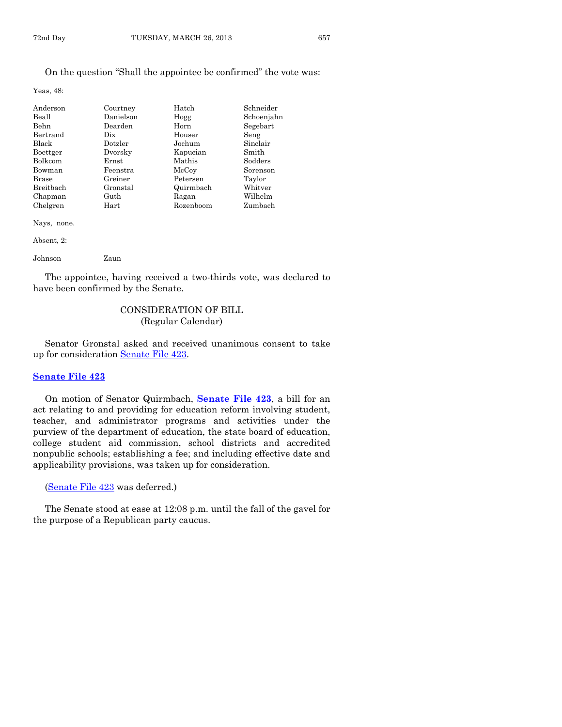#### On the question "Shall the appointee be confirmed" the vote was:

Yeas, 48:

| Anderson  | Courtney  | Hatch     | Schneider  |
|-----------|-----------|-----------|------------|
| Beall     | Danielson | Hogg      | Schoenjahn |
| Behn      | Dearden   | Horn      | Segebart   |
| Bertrand  | Dix       | Houser    | Seng       |
| Black     | Dotzler   | Jochum    | Sinclair   |
| Boettger  | Dvorsky   | Kapucian  | Smith      |
| Bolkcom   | Ernst     | Mathis    | Sodders    |
| Bowman    | Feenstra  | McCoy     | Sorenson   |
| Brase     | Greiner   | Petersen  | Taylor     |
| Breitbach | Gronstal  | Quirmbach | Whitver    |
| Chapman   | Guth      | Ragan     | Wilhelm    |
| Chelgren  | Hart      | Rozenboom | Zumbach    |

Nays, none.

| Absent, 2: |      |  |
|------------|------|--|
| Johnson    | Zaun |  |

The appointee, having received a two-thirds vote, was declared to have been confirmed by the Senate.

# CONSIDERATION OF BILL (Regular Calendar)

Senator Gronstal asked and received unanimous consent to take up for consideration [Senate File 423.](http://coolice.legis.state.ia.us/Cool-ICE/default.asp?Category=billinfo&Service=Billbook&frame=1&GA=85&hbill=SF423)

#### **[Senate File 423](http://coolice.legis.state.ia.us/Cool-ICE/default.asp?Category=billinfo&Service=Billbook&frame=1&GA=85&hbill=SF423)**

On motion of Senator Quirmbach, **[Senate File 423](http://coolice.legis.state.ia.us/Cool-ICE/default.asp?Category=billinfo&Service=Billbook&frame=1&GA=85&hbill=SF423)**, a bill for an act relating to and providing for education reform involving student, teacher, and administrator programs and activities under the purview of the department of education, the state board of education, college student aid commission, school districts and accredited nonpublic schools; establishing a fee; and including effective date and applicability provisions, was taken up for consideration.

[\(Senate File 423](http://coolice.legis.state.ia.us/Cool-ICE/default.asp?Category=billinfo&Service=Billbook&frame=1&GA=85&hbill=SF423) was deferred.)

The Senate stood at ease at 12:08 p.m. until the fall of the gavel for the purpose of a Republican party caucus.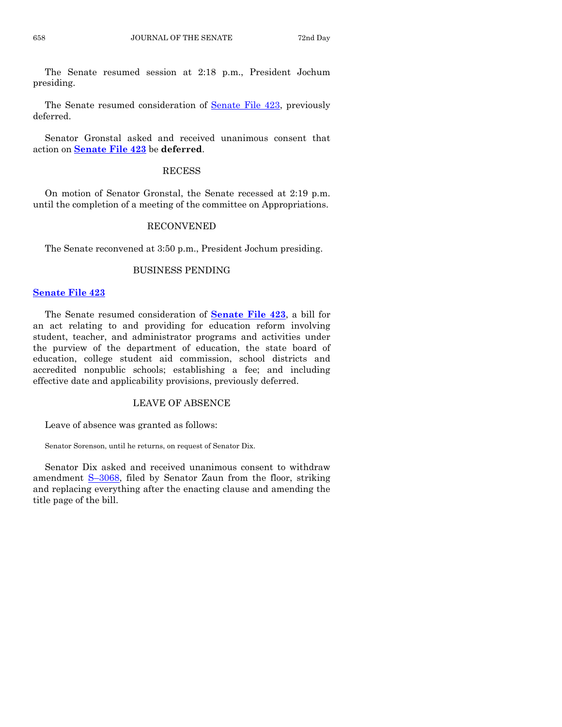The Senate resumed session at 2:18 p.m., President Jochum presiding.

The Senate resumed consideration of [Senate File 423,](http://coolice.legis.state.ia.us/Cool-ICE/default.asp?Category=billinfo&Service=Billbook&frame=1&GA=85&hbill=SF423) previously deferred.

Senator Gronstal asked and received unanimous consent that action on **[Senate File 423](http://coolice.legis.state.ia.us/Cool-ICE/default.asp?Category=billinfo&Service=Billbook&frame=1&GA=85&hbill=SF423)** be **deferred**.

#### RECESS

On motion of Senator Gronstal, the Senate recessed at 2:19 p.m. until the completion of a meeting of the committee on Appropriations.

#### RECONVENED

The Senate reconvened at 3:50 p.m., President Jochum presiding.

#### BUSINESS PENDING

#### **[Senate File 423](http://coolice.legis.state.ia.us/Cool-ICE/default.asp?Category=billinfo&Service=Billbook&frame=1&GA=85&hbill=SF423)**

The Senate resumed consideration of **[Senate File 423](http://coolice.legis.state.ia.us/Cool-ICE/default.asp?Category=billinfo&Service=Billbook&frame=1&GA=85&hbill=SF423)**, a bill for an act relating to and providing for education reform involving student, teacher, and administrator programs and activities under the purview of the department of education, the state board of education, college student aid commission, school districts and accredited nonpublic schools; establishing a fee; and including effective date and applicability provisions, previously deferred.

#### LEAVE OF ABSENCE

Leave of absence was granted as follows:

Senator Sorenson, until he returns, on request of Senator Dix.

Senator Dix asked and received unanimous consent to withdraw amendment S-[3068,](http://coolice.legis.state.ia.us/Cool-ICE/default.asp?Category=billinfo&Service=Billbook&frame=1&GA=85&hbill=S3068) filed by Senator Zaun from the floor, striking and replacing everything after the enacting clause and amending the title page of the bill.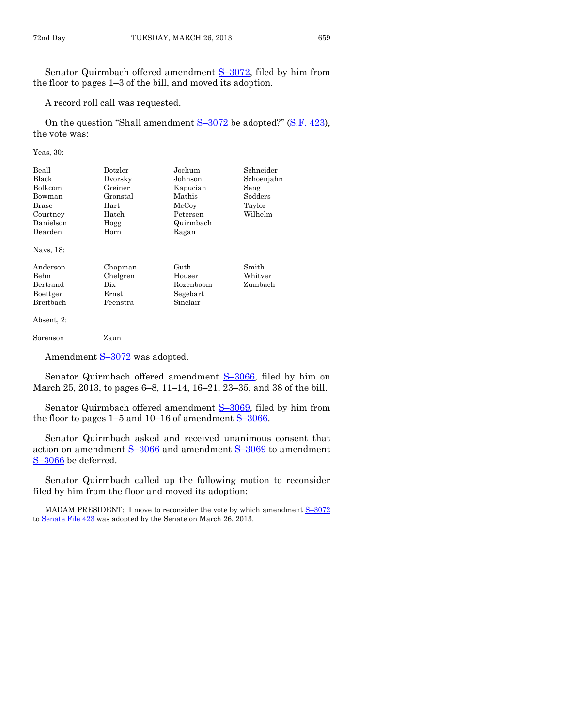Senator Quirmbach offered amendment S–[3072,](http://coolice.legis.state.ia.us/Cool-ICE/default.asp?Category=billinfo&Service=Billbook&frame=1&GA=85&hbill=S3072) filed by him from the floor to pages 1–3 of the bill, and moved its adoption.

A record roll call was requested.

On the question "Shall amendment  $S-3072$  $S-3072$  be adopted?" [\(S.F. 423\)](http://coolice.legis.state.ia.us/Cool-ICE/default.asp?Category=billinfo&Service=Billbook&frame=1&GA=85&hbill=SF423), the vote was:

Yeas, 30:

| Beall      | Dotzler  | Jochum              | Schneider  |
|------------|----------|---------------------|------------|
| Black      | Dvorsky  | Johnson             | Schoenjahn |
| Bolkcom    | Greiner  | Kapucian            | Seng       |
| Bowman     | Gronstal | Mathis              | Sodders    |
| Brase      | Hart     | $_{\mathrm{McCov}}$ | Taylor     |
| Courtney   | Hatch    | Petersen            | Wilhelm    |
| Danielson  | Hogg     | Quirmbach           |            |
| Dearden    | Horn     | Ragan               |            |
| Nays, 18:  |          |                     |            |
| Anderson   | Chapman  | Guth                | Smith      |
| Behn       | Chelgren | Houser              | Whitver    |
| Bertrand   | Dix      | Rozenboom           | Zumbach    |
| Boettger   | Ernst    | Segebart            |            |
| Breitbach  | Feenstra | Sinclair            |            |
| Absent, 2: |          |                     |            |
| Sorenson   | Zaun     |                     |            |

Amendment S-[3072](http://coolice.legis.state.ia.us/Cool-ICE/default.asp?Category=billinfo&Service=Billbook&frame=1&GA=85&hbill=S3072) was adopted.

Senator Quirmbach offered amendment S-[3066,](http://coolice.legis.state.ia.us/Cool-ICE/default.asp?Category=billinfo&Service=Billbook&frame=1&GA=85&hbill=S3066) filed by him on March 25, 2013, to pages 6–8, 11–14, 16–21, 23–35, and 38 of the bill.

Senator Quirmbach offered amendment S–[3069,](http://coolice.legis.state.ia.us/Cool-ICE/default.asp?Category=billinfo&Service=Billbook&frame=1&GA=85&hbill=S3069) filed by him from the floor to pages  $1-5$  and  $10-16$  of amendment  $S-3066$ .

Senator Quirmbach asked and received unanimous consent that action on amendment S-[3066](http://coolice.legis.state.ia.us/Cool-ICE/default.asp?Category=billinfo&Service=Billbook&frame=1&GA=85&hbill=S3066) and amendment S-[3069](http://coolice.legis.state.ia.us/Cool-ICE/default.asp?Category=billinfo&Service=Billbook&frame=1&GA=85&hbill=S3069) to amendment S–[3066](http://coolice.legis.state.ia.us/Cool-ICE/default.asp?Category=billinfo&Service=Billbook&frame=1&GA=85&hbill=S3066) be deferred.

Senator Quirmbach called up the following motion to reconsider filed by him from the floor and moved its adoption:

MADAM PRESIDENT: I move to reconsider the vote by which amendment S–[3072](http://coolice.legis.state.ia.us/Cool-ICE/default.asp?Category=billinfo&Service=Billbook&frame=1&GA=85&hbill=S3072) t[o Senate File 423](http://coolice.legis.state.ia.us/Cool-ICE/default.asp?Category=billinfo&Service=Billbook&frame=1&GA=85&hbill=SF423) was adopted by the Senate on March 26, 2013.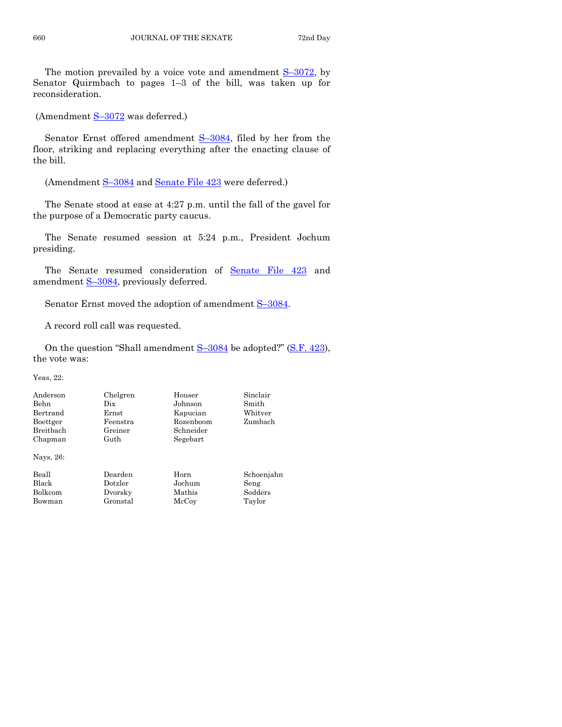The motion prevailed by a voice vote and amendment S–[3072,](http://coolice.legis.state.ia.us/Cool-ICE/default.asp?Category=billinfo&Service=Billbook&frame=1&GA=85&hbill=S3072) by Senator Quirmbach to pages 1–3 of the bill, was taken up for reconsideration.

(Amendment S–[3072](http://coolice.legis.state.ia.us/Cool-ICE/default.asp?Category=billinfo&Service=Billbook&frame=1&GA=85&hbill=S3072) was deferred.)

Senator Ernst offered amendment S–[3084,](http://coolice.legis.state.ia.us/Cool-ICE/default.asp?Category=billinfo&Service=Billbook&frame=1&GA=85&hbill=S3084) filed by her from the floor, striking and replacing everything after the enacting clause of the bill.

(Amendment S–[3084](http://coolice.legis.state.ia.us/Cool-ICE/default.asp?Category=billinfo&Service=Billbook&frame=1&GA=85&hbill=S3084) and [Senate File 423](http://coolice.legis.state.ia.us/Cool-ICE/default.asp?Category=billinfo&Service=Billbook&frame=1&GA=85&hbill=SF423) were deferred.)

The Senate stood at ease at 4:27 p.m. until the fall of the gavel for the purpose of a Democratic party caucus.

The Senate resumed session at 5:24 p.m., President Jochum presiding.

The Senate resumed consideration of [Senate File 423](http://coolice.legis.state.ia.us/Cool-ICE/default.asp?Category=billinfo&Service=Billbook&frame=1&GA=85&hbill=SF423) and amendment S-[3084,](http://coolice.legis.state.ia.us/Cool-ICE/default.asp?Category=billinfo&Service=Billbook&frame=1&GA=85&hbill=S3084) previously deferred.

Senator Ernst moved the adoption of amendment S-[3084.](http://coolice.legis.state.ia.us/Cool-ICE/default.asp?Category=billinfo&Service=Billbook&frame=1&GA=85&hbill=S3084)

A record roll call was requested.

On the question "Shall amendment  $S-3084$  $S-3084$  be adopted?" [\(S.F. 423\)](http://coolice.legis.state.ia.us/Cool-ICE/default.asp?Category=billinfo&Service=Billbook&frame=1&GA=85&hbill=SF423), the vote was:

Yeas, 22:

| Anderson<br>Behn<br>Bertrand<br>Boettger<br>Breitbach<br>Chapman | Chelgren<br>Dix<br>Ernst<br>Feenstra<br>Greiner<br>Guth | Houser<br>Johnson<br>Kapucian<br>Rozenboom<br>Schneider<br>Segebart | Sinclair<br>Smith<br>Whitver<br>Zumbach |
|------------------------------------------------------------------|---------------------------------------------------------|---------------------------------------------------------------------|-----------------------------------------|
| Nays, 26:                                                        |                                                         |                                                                     |                                         |
| Beall                                                            | Dearden                                                 | Horn                                                                | Schoenjahn                              |
| Black                                                            | Dotzler                                                 | Jochum                                                              | Seng                                    |
| Bolkcom                                                          | Dvorsky                                                 | Mathis                                                              | Sodders                                 |
| Bowman                                                           | Gronstal                                                | McCoy                                                               | Taylor                                  |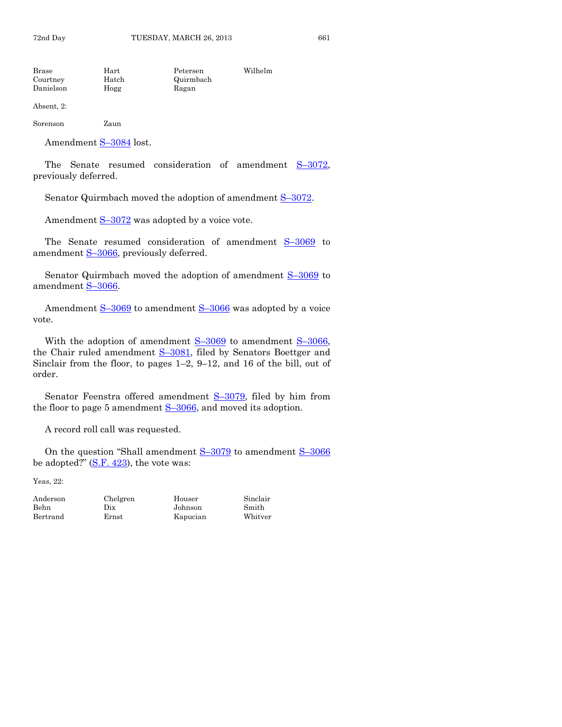Brase Hart Petersen Wilhelm Courtney Hatch Quirmbach Danielson Hogg Ragan

Absent, 2:

Sorenson Zaun

Amendment S–[3084](http://coolice.legis.state.ia.us/Cool-ICE/default.asp?Category=billinfo&Service=Billbook&frame=1&GA=85&hbill=S3084) lost.

The Senate resumed consideration of amendment S–[3072,](http://coolice.legis.state.ia.us/Cool-ICE/default.asp?Category=billinfo&Service=Billbook&frame=1&GA=85&hbill=S3072) previously deferred.

Senator Quirmbach moved the adoption of amendment S–[3072.](http://coolice.legis.state.ia.us/Cool-ICE/default.asp?Category=billinfo&Service=Billbook&frame=1&GA=85&hbill=S3072)

Amendment  $S-3072$  $S-3072$  was adopted by a voice vote.

The Senate resumed consideration of amendment S-[3069](http://coolice.legis.state.ia.us/Cool-ICE/default.asp?Category=billinfo&Service=Billbook&frame=1&GA=85&hbill=S3069) to amendment S-[3066,](http://coolice.legis.state.ia.us/Cool-ICE/default.asp?Category=billinfo&Service=Billbook&frame=1&GA=85&hbill=S3066) previously deferred.

Senator Quirmbach moved the adoption of amendment  $S-3069$  $S-3069$  to amendment S–[3066.](http://coolice.legis.state.ia.us/Cool-ICE/default.asp?Category=billinfo&Service=Billbook&frame=1&GA=85&hbill=S3066)

Amendment S-[3069](http://coolice.legis.state.ia.us/Cool-ICE/default.asp?Category=billinfo&Service=Billbook&frame=1&GA=85&hbill=S3069) to amendment S-[3066](http://coolice.legis.state.ia.us/Cool-ICE/default.asp?Category=billinfo&Service=Billbook&frame=1&GA=85&hbill=S3066) was adopted by a voice vote.

With the adoption of amendment S–[3069](http://coolice.legis.state.ia.us/Cool-ICE/default.asp?Category=billinfo&Service=Billbook&frame=1&GA=85&hbill=S3069) to amendment S–[3066,](http://coolice.legis.state.ia.us/Cool-ICE/default.asp?Category=billinfo&Service=Billbook&frame=1&GA=85&hbill=S3066) the Chair ruled amendment S-[3081,](http://coolice.legis.state.ia.us/Cool-ICE/default.asp?Category=billinfo&Service=Billbook&frame=1&GA=85&hbill=S3081) filed by Senators Boettger and Sinclair from the floor, to pages 1–2, 9–12, and 16 of the bill, out of order.

Senator Feenstra offered amendment S–[3079,](http://coolice.legis.state.ia.us/Cool-ICE/default.asp?Category=billinfo&Service=Billbook&frame=1&GA=85&hbill=S3079) filed by him from the floor to page 5 amendment  $S-3066$ , and moved its adoption.

A record roll call was requested.

On the question "Shall amendment  $S-3079$  $S-3079$  to amendment  $S-3066$  $S-3066$ be adopted?"  $(S.F. 423)$ , the vote was:

Yeas, 22:

Behn Dix Johnson Smith Bertrand Ernst Kapucian

Anderson Chelgren Houser Sinclair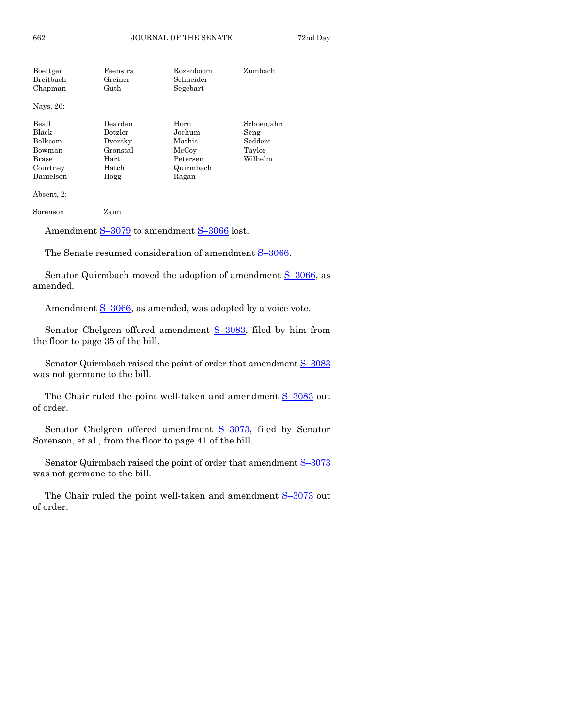| Boettger   | Feenstra | Rozenboom | Zumbach    |
|------------|----------|-----------|------------|
| Breitbach  | Greiner  | Schneider |            |
| Chapman    | Guth     | Segebart  |            |
| Nays, 26:  |          |           |            |
| Beall      | Dearden  | Horn      | Schoenjahn |
| Black      | Dotzler  | Jochum    | Seng       |
| Bolkcom    | Dvorsky  | Mathis    | Sodders    |
| Bowman     | Gronstal | McCoy     | Taylor     |
| Brase      | Hart     | Petersen  | Wilhelm    |
| Courtney   | Hatch    | Quirmbach |            |
| Danielson  | Hogg     | Ragan     |            |
| Absent. 2: |          |           |            |

Sorenson Zaun

Amendment S-[3079](http://coolice.legis.state.ia.us/Cool-ICE/default.asp?Category=billinfo&Service=Billbook&frame=1&GA=85&hbill=S3079) to amendment S-[3066](http://coolice.legis.state.ia.us/Cool-ICE/default.asp?Category=billinfo&Service=Billbook&frame=1&GA=85&hbill=S3066) lost.

The Senate resumed consideration of amendment S-[3066.](http://coolice.legis.state.ia.us/Cool-ICE/default.asp?Category=billinfo&Service=Billbook&frame=1&GA=85&hbill=S3066)

Senator Quirmbach moved the adoption of amendment  $S-3066$ , as amended.

Amendment S-[3066,](http://coolice.legis.state.ia.us/Cool-ICE/default.asp?Category=billinfo&Service=Billbook&frame=1&GA=85&hbill=S3066) as amended, was adopted by a voice vote.

Senator Chelgren offered amendment S-[3083,](http://coolice.legis.state.ia.us/Cool-ICE/default.asp?Category=billinfo&Service=Billbook&frame=1&GA=85&hbill=S3083) filed by him from the floor to page 35 of the bill.

Senator Quirmbach raised the point of order that amendment S–[3083](http://coolice.legis.state.ia.us/Cool-ICE/default.asp?Category=billinfo&Service=Billbook&frame=1&GA=85&hbill=S3083) was not germane to the bill.

The Chair ruled the point well-taken and amendment  $S-3083$  $S-3083$  out of order.

Senator Chelgren offered amendment S-[3073,](http://coolice.legis.state.ia.us/Cool-ICE/default.asp?Category=billinfo&Service=Billbook&frame=1&GA=85&hbill=S3073) filed by Senator Sorenson, et al., from the floor to page 41 of the bill.

Senator Quirmbach raised the point of order that amendment  $S$ –[3073](http://coolice.legis.state.ia.us/Cool-ICE/default.asp?Category=billinfo&Service=Billbook&frame=1&GA=85&hbill=S3073) was not germane to the bill.

The Chair ruled the point well-taken and amendment  $S-3073$  $S-3073$  out of order.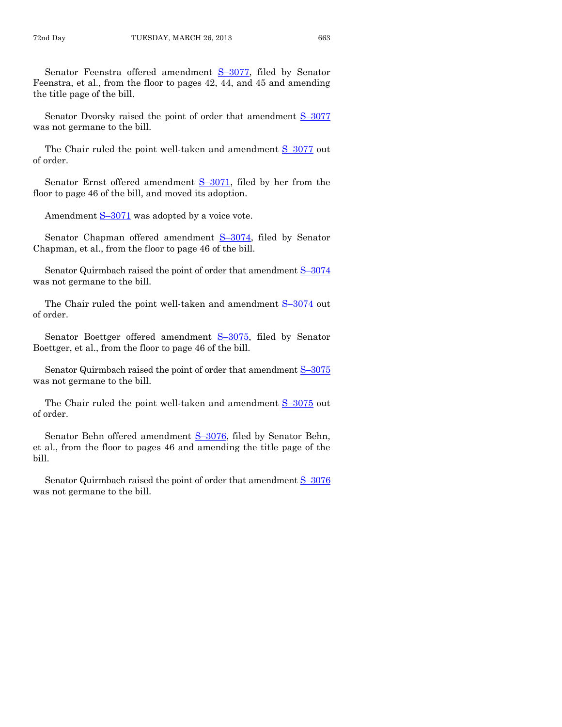Senator Feenstra offered amendment S–[3077,](http://coolice.legis.state.ia.us/Cool-ICE/default.asp?Category=billinfo&Service=Billbook&frame=1&GA=85&hbill=S3077) filed by Senator Feenstra, et al., from the floor to pages 42, 44, and 45 and amending the title page of the bill.

Senator Dvorsky raised the point of order that amendment  $S$ -[3077](http://coolice.legis.state.ia.us/Cool-ICE/default.asp?Category=billinfo&Service=Billbook&frame=1&GA=85&hbill=S3077) was not germane to the bill.

The Chair ruled the point well-taken and amendment  $S-3077$  $S-3077$  out of order.

Senator Ernst offered amendment S-[3071,](http://coolice.legis.state.ia.us/Cool-ICE/default.asp?Category=billinfo&Service=Billbook&frame=1&GA=85&hbill=S3071) filed by her from the floor to page 46 of the bill, and moved its adoption.

Amendment  $S-3071$  $S-3071$  was adopted by a voice vote.

Senator Chapman offered amendment S-[3074,](http://coolice.legis.state.ia.us/Cool-ICE/default.asp?Category=billinfo&Service=Billbook&frame=1&GA=85&hbill=S3074) filed by Senator Chapman, et al., from the floor to page 46 of the bill.

Senator Quirmbach raised the point of order that amendment S–[3074](http://coolice.legis.state.ia.us/Cool-ICE/default.asp?Category=billinfo&Service=Billbook&frame=1&GA=85&hbill=S3074) was not germane to the bill.

The Chair ruled the point well-taken and amendment  $S-3074$  $S-3074$  out of order.

Senator Boettger offered amendment S-[3075,](http://coolice.legis.state.ia.us/Cool-ICE/default.asp?Category=billinfo&Service=Billbook&frame=1&GA=85&hbill=S3075) filed by Senator Boettger, et al., from the floor to page 46 of the bill.

Senator Quirmbach raised the point of order that amendment  $S$ –[3075](http://coolice.legis.state.ia.us/Cool-ICE/default.asp?Category=billinfo&Service=Billbook&frame=1&GA=85&hbill=S3075) was not germane to the bill.

The Chair ruled the point well-taken and amendment  $S-3075$  $S-3075$  out of order.

Senator Behn offered amendment S–[3076,](http://coolice.legis.state.ia.us/Cool-ICE/default.asp?Category=billinfo&Service=Billbook&frame=1&GA=85&hbill=S3076) filed by Senator Behn, et al., from the floor to pages 46 and amending the title page of the bill.

Senator Quirmbach raised the point of order that amendment S–[3076](http://coolice.legis.state.ia.us/Cool-ICE/default.asp?Category=billinfo&Service=Billbook&frame=1&GA=85&hbill=S3076) was not germane to the bill.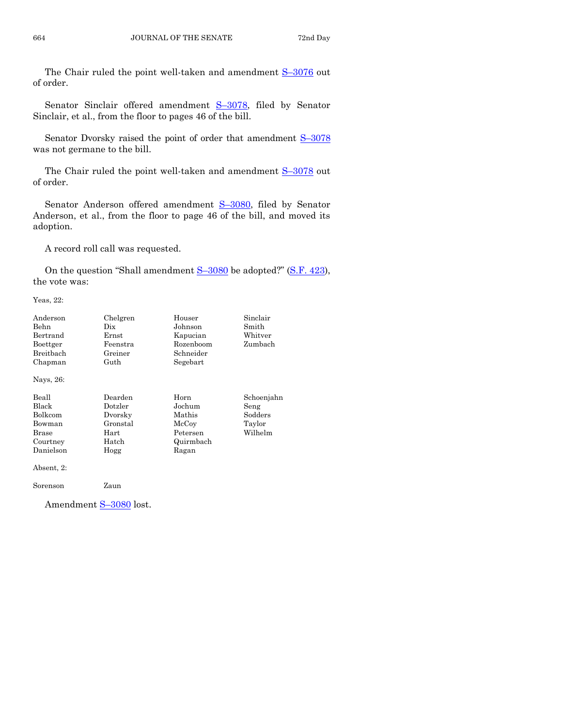The Chair ruled the point well-taken and amendment  $S-3076$  $S-3076$  out of order.

Senator Sinclair offered amendment S-[3078,](http://coolice.legis.state.ia.us/Cool-ICE/default.asp?Category=billinfo&Service=Billbook&frame=1&GA=85&hbill=S3078) filed by Senator Sinclair, et al., from the floor to pages 46 of the bill.

Senator Dvorsky raised the point of order that amendment  $S-3078$  $S-3078$ was not germane to the bill.

The Chair ruled the point well-taken and amendment S-[3078](http://coolice.legis.state.ia.us/Cool-ICE/default.asp?Category=billinfo&Service=Billbook&frame=1&GA=85&hbill=S3078) out of order.

Senator Anderson offered amendment S-[3080,](http://coolice.legis.state.ia.us/Cool-ICE/default.asp?Category=billinfo&Service=Billbook&frame=1&GA=85&hbill=S3080) filed by Senator Anderson, et al., from the floor to page 46 of the bill, and moved its adoption.

A record roll call was requested.

On the question "Shall amendment  $S-3080$  $S-3080$  be adopted?" [\(S.F. 423\)](http://coolice.legis.state.ia.us/Cool-ICE/default.asp?Category=billinfo&Service=Billbook&frame=1&GA=85&hbill=SF423), the vote was:

Yeas, 22:

| Anderson<br>Behn<br>Bertrand<br>Boettger<br>Breitbach<br>Chapman      | Chelgren<br>Dix<br>$\rm Ernst$<br>Feenstra<br>Greiner<br>Guth      | Houser<br>Johnson<br>Kapucian<br>Rozenboom<br>Schneider<br>Segebart | Sinclair<br>Smith<br>Whitver<br>Zumbach            |
|-----------------------------------------------------------------------|--------------------------------------------------------------------|---------------------------------------------------------------------|----------------------------------------------------|
| Nays, 26:                                                             |                                                                    |                                                                     |                                                    |
| Beall<br>Black<br>Bolkcom<br>Bowman<br>Brase<br>Courtney<br>Danielson | Dearden<br>Dotzler<br>Dvorsky<br>Gronstal<br>Hart<br>Hatch<br>Hogg | Horn<br>Jochum<br>Mathis<br>McCoy<br>Petersen<br>Quirmbach<br>Ragan | Schoenjahn<br>Seng<br>Sodders<br>Taylor<br>Wilhelm |
| Absent, 2:                                                            |                                                                    |                                                                     |                                                    |
| Sorenson                                                              | Zaun                                                               |                                                                     |                                                    |

Amendment S-[3080](http://coolice.legis.state.ia.us/Cool-ICE/default.asp?Category=billinfo&Service=Billbook&frame=1&GA=85&hbill=S3080) lost.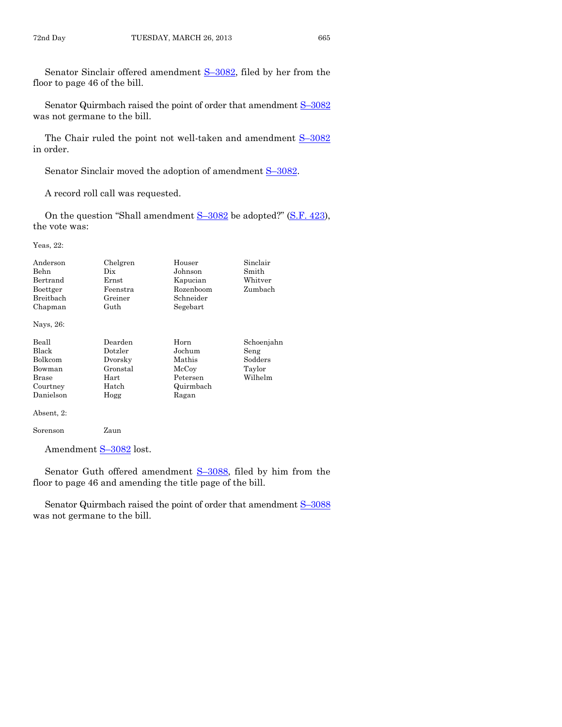Senator Sinclair offered amendment S–[3082,](http://coolice.legis.state.ia.us/Cool-ICE/default.asp?Category=billinfo&Service=Billbook&frame=1&GA=85&hbill=S3082) filed by her from the floor to page 46 of the bill.

Senator Quirmbach raised the point of order that amendment S-[3082](http://coolice.legis.state.ia.us/Cool-ICE/default.asp?Category=billinfo&Service=Billbook&frame=1&GA=85&hbill=S3082) was not germane to the bill.

The Chair ruled the point not well-taken and amendment  $S-3082$  $S-3082$ in order.

Senator Sinclair moved the adoption of amendment  $S-3082$ .

A record roll call was requested.

On the question "Shall amendment  $S-3082$  $S-3082$  be adopted?" [\(S.F. 423\)](http://coolice.legis.state.ia.us/Cool-ICE/default.asp?Category=billinfo&Service=Billbook&frame=1&GA=85&hbill=SF423), the vote was:

Yeas, 22:

| Anderson<br>Behn<br>Bertrand<br>Boettger<br>Breithach<br>Chapman             | Chelgren<br>Dix<br>Ernst<br>Feenstra<br>Greiner<br>Guth            | Houser<br>Johnson<br>Kapucian<br>Rozenboom<br>Schneider<br>Segebart | Sinclair<br>Smith<br>Whitver<br>Zumbach            |
|------------------------------------------------------------------------------|--------------------------------------------------------------------|---------------------------------------------------------------------|----------------------------------------------------|
| Nays, 26:                                                                    |                                                                    |                                                                     |                                                    |
| Beall<br>Black<br><b>Bolkcom</b><br>Bowman<br>Brase<br>Courtney<br>Danielson | Dearden<br>Dotzler<br>Dvorsky<br>Gronstal<br>Hart<br>Hatch<br>Hogg | Horn<br>Jochum<br>Mathis<br>McCoy<br>Petersen<br>Quirmbach<br>Ragan | Schoenjahn<br>Seng<br>Sodders<br>Taylor<br>Wilhelm |
| Absent, 2:                                                                   |                                                                    |                                                                     |                                                    |

Sorenson Zaun

Amendment S-[3082](http://coolice.legis.state.ia.us/Cool-ICE/default.asp?Category=billinfo&Service=Billbook&frame=1&GA=85&hbill=S3082) lost.

Senator Guth offered amendment S–[3088,](http://coolice.legis.state.ia.us/Cool-ICE/default.asp?Category=billinfo&Service=Billbook&frame=1&GA=85&hbill=S3088) filed by him from the floor to page 46 and amending the title page of the bill.

Senator Quirmbach raised the point of order that amendment S-[3088](http://coolice.legis.state.ia.us/Cool-ICE/default.asp?Category=billinfo&Service=Billbook&frame=1&GA=85&hbill=S3088) was not germane to the bill.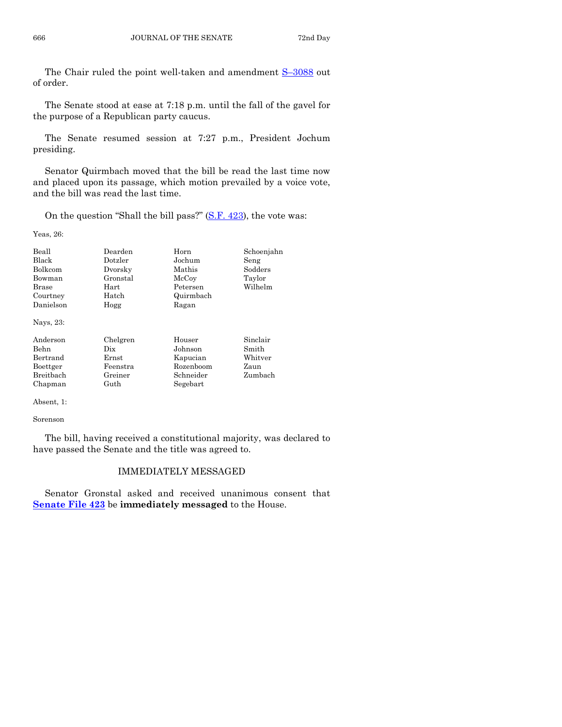The Chair ruled the point well-taken and amendment S-[3088](http://coolice.legis.state.ia.us/Cool-ICE/default.asp?Category=billinfo&Service=Billbook&frame=1&GA=85&hbill=S3088) out of order.

The Senate stood at ease at 7:18 p.m. until the fall of the gavel for the purpose of a Republican party caucus.

The Senate resumed session at 7:27 p.m., President Jochum presiding.

Senator Quirmbach moved that the bill be read the last time now and placed upon its passage, which motion prevailed by a voice vote, and the bill was read the last time.

On the question "Shall the bill pass?"  $(S.F. 423)$ , the vote was:

Yeas, 26:

| Beall<br><b>Black</b><br><b>Bolkcom</b><br>Bowman<br>Brase<br>Courtney<br>Danielson<br>Nays, 23: | Dearden<br>Dotzler<br>Dvorsky<br>Gronstal<br>Hart<br>Hatch<br>Hogg | Horn<br>Jochum<br>Mathis<br>McCoy<br>Petersen<br>Quirmbach<br>Ragan | Schoenjahn<br>Seng<br>Sodders<br>Taylor<br>Wilhelm |
|--------------------------------------------------------------------------------------------------|--------------------------------------------------------------------|---------------------------------------------------------------------|----------------------------------------------------|
| Anderson<br>Behn<br>Bertrand<br>Boettger<br><b>Breithach</b><br>Chapman                          | Chelgren<br>Dix<br>Ernst<br>Feenstra<br>Greiner<br>Guth            | Houser<br>Johnson<br>Kapucian<br>Rozenboom<br>Schneider<br>Segebart | Sinclair<br>Smith<br>Whitver<br>Zaun<br>Zumbach    |

Absent, 1:

Sorenson

The bill, having received a constitutional majority, was declared to have passed the Senate and the title was agreed to.

### IMMEDIATELY MESSAGED

Senator Gronstal asked and received unanimous consent that **[Senate File 423](http://coolice.legis.state.ia.us/Cool-ICE/default.asp?Category=billinfo&Service=Billbook&frame=1&GA=85&hbill=SF423)** be **immediately messaged** to the House.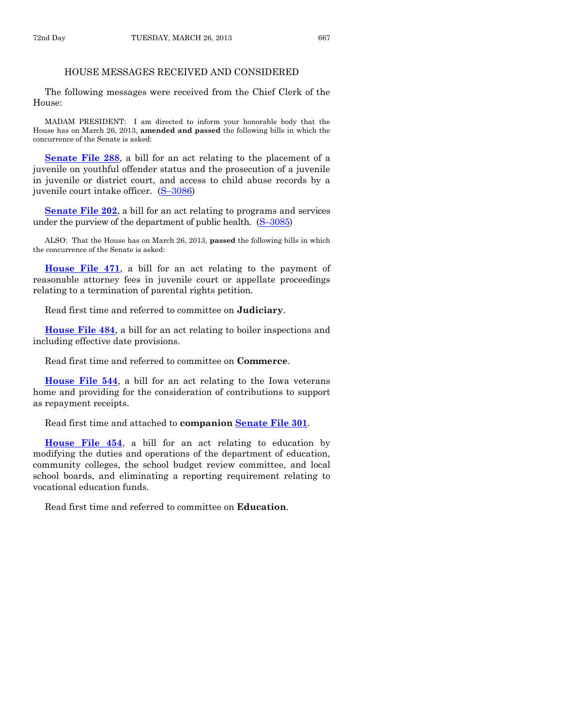# HOUSE MESSAGES RECEIVED AND CONSIDERED

The following messages were received from the Chief Clerk of the House:

MADAM PRESIDENT: I am directed to inform your honorable body that the House has on March 26, 2013, **amended and passed** the following bills in which the concurrence of the Senate is asked:

**[Senate File 288](http://coolice.legis.state.ia.us/Cool-ICE/default.asp?Category=billinfo&Service=Billbook&frame=1&GA=85&hbill=SF288)**, a bill for an act relating to the placement of a juvenile on youthful offender status and the prosecution of a juvenile in juvenile or district court, and access to child abuse records by a juvenile court intake officer. (S–[3086\)](http://coolice.legis.state.ia.us/Cool-ICE/default.asp?Category=billinfo&Service=Billbook&frame=1&GA=85&hbill=S3086)

**[Senate File 202](http://coolice.legis.state.ia.us/Cool-ICE/default.asp?Category=billinfo&Service=Billbook&frame=1&GA=85&hbill=SF202)**, a bill for an act relating to programs and services under the purview of the department of public health.  $(S-3085)$  $(S-3085)$ 

ALSO: That the House has on March 26, 2013, **passed** the following bills in which the concurrence of the Senate is asked:

**[House File 471](http://coolice.legis.state.ia.us/Cool-ICE/default.asp?Category=billinfo&Service=Billbook&frame=1&GA=85&hbill=HF471)**, a bill for an act relating to the payment of reasonable attorney fees in juvenile court or appellate proceedings relating to a termination of parental rights petition.

Read first time and referred to committee on **Judiciary**.

**[House File 484](http://coolice.legis.state.ia.us/Cool-ICE/default.asp?Category=billinfo&Service=Billbook&frame=1&GA=85&hbill=HF484)**, a bill for an act relating to boiler inspections and including effective date provisions.

Read first time and referred to committee on **Commerce**.

**[House File 544](http://coolice.legis.state.ia.us/Cool-ICE/default.asp?Category=billinfo&Service=Billbook&frame=1&GA=85&hbill=HF544)**, a bill for an act relating to the Iowa veterans home and providing for the consideration of contributions to support as repayment receipts.

Read first time and attached to **companion [Senate File 301](http://coolice.legis.state.ia.us/Cool-ICE/default.asp?Category=billinfo&Service=Billbook&frame=1&GA=85&hbill=SF301)**.

**[House File 454](http://coolice.legis.state.ia.us/Cool-ICE/default.asp?Category=billinfo&Service=Billbook&frame=1&GA=85&hbill=HF454)**, a bill for an act relating to education by modifying the duties and operations of the department of education, community colleges, the school budget review committee, and local school boards, and eliminating a reporting requirement relating to vocational education funds.

Read first time and referred to committee on **Education**.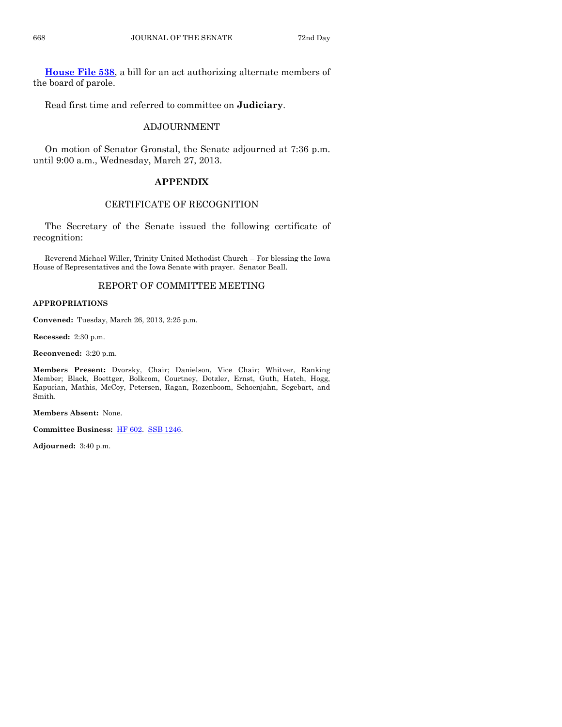**[House File 538](http://coolice.legis.state.ia.us/Cool-ICE/default.asp?Category=billinfo&Service=Billbook&frame=1&GA=85&hbill=HF538)**, a bill for an act authorizing alternate members of the board of parole.

Read first time and referred to committee on **Judiciary**.

# ADJOURNMENT

On motion of Senator Gronstal, the Senate adjourned at 7:36 p.m. until 9:00 a.m., Wednesday, March 27, 2013.

# **APPENDIX**

# CERTIFICATE OF RECOGNITION

The Secretary of the Senate issued the following certificate of recognition:

Reverend Michael Willer, Trinity United Methodist Church – For blessing the Iowa House of Representatives and the Iowa Senate with prayer. Senator Beall.

# REPORT OF COMMITTEE MEETING

#### **APPROPRIATIONS**

**Convened:** Tuesday, March 26, 2013, 2:25 p.m.

**Recessed:** 2:30 p.m.

**Reconvened:** 3:20 p.m.

**Members Present:** Dvorsky, Chair; Danielson, Vice Chair; Whitver, Ranking Member; Black, Boettger, Bolkcom, Courtney, Dotzler, Ernst, Guth, Hatch, Hogg, Kapucian, Mathis, McCoy, Petersen, Ragan, Rozenboom, Schoenjahn, Segebart, and Smith.

**Members Absent:** None.

**Committee Business:** [HF 602.](http://coolice.legis.state.ia.us/Cool-ICE/default.asp?Category=billinfo&Service=Billbook&frame=1&GA=85&hbill=HF602) [SSB 1246.](http://coolice.legis.state.ia.us/Cool-ICE/default.asp?Category=billinfo&Service=Billbook&frame=1&GA=85&hbill=SSB1246)

**Adjourned:** 3:40 p.m.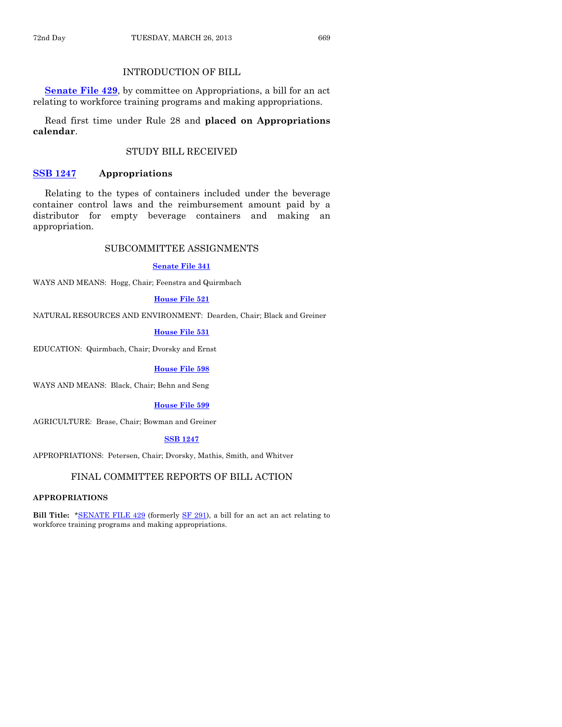# INTRODUCTION OF BILL

**[Senate File 429](http://coolice.legis.state.ia.us/Cool-ICE/default.asp?Category=billinfo&Service=Billbook&frame=1&GA=85&hbill=SF429)**, by committee on Appropriations, a bill for an act relating to workforce training programs and making appropriations.

Read first time under Rule 28 and **placed on Appropriations calendar**.

# STUDY BILL RECEIVED

#### **[SSB 1247](http://coolice.legis.state.ia.us/Cool-ICE/default.asp?Category=billinfo&Service=Billbook&frame=1&GA=85&hbill=SSB1247) Appropriations**

Relating to the types of containers included under the beverage container control laws and the reimbursement amount paid by a distributor for empty beverage containers and making an appropriation.

### SUBCOMMITTEE ASSIGNMENTS

#### **[Senate File 341](http://coolice.legis.state.ia.us/Cool-ICE/default.asp?Category=billinfo&Service=Billbook&frame=1&GA=85&hbill=SF341)**

WAYS AND MEANS: Hogg, Chair; Feenstra and Quirmbach

#### **[House File 521](http://coolice.legis.state.ia.us/Cool-ICE/default.asp?Category=billinfo&Service=Billbook&frame=1&GA=85&hbill=HF521)**

NATURAL RESOURCES AND ENVIRONMENT: Dearden, Chair; Black and Greiner

#### **[House File 531](http://coolice.legis.state.ia.us/Cool-ICE/default.asp?Category=billinfo&Service=Billbook&frame=1&GA=85&hbill=HF531)**

EDUCATION: Quirmbach, Chair; Dvorsky and Ernst

#### **[House File 598](http://coolice.legis.state.ia.us/Cool-ICE/default.asp?Category=billinfo&Service=Billbook&frame=1&GA=85&hbill=HF598)**

WAYS AND MEANS: Black, Chair; Behn and Seng

#### **[House File 599](http://coolice.legis.state.ia.us/Cool-ICE/default.asp?Category=billinfo&Service=Billbook&frame=1&GA=85&hbill=HF599)**

AGRICULTURE: Brase, Chair; Bowman and Greiner

#### **[SSB 1247](http://coolice.legis.state.ia.us/Cool-ICE/default.asp?Category=billinfo&Service=Billbook&frame=1&GA=85&hbill=SSB1247)**

APPROPRIATIONS: Petersen, Chair; Dvorsky, Mathis, Smith, and Whitver

# FINAL COMMITTEE REPORTS OF BILL ACTION

#### **APPROPRIATIONS**

**Bill Title:** [\\*SENATE FILE 429](http://coolice.legis.state.ia.us/Cool-ICE/default.asp?Category=billinfo&Service=Billbook&frame=1&GA=85&hbill=SF429) (formerly [SF 291\)](http://coolice.legis.state.ia.us/Cool-ICE/default.asp?Category=billinfo&Service=Billbook&frame=1&GA=85&hbill=SF291), a bill for an act an act relating to workforce training programs and making appropriations.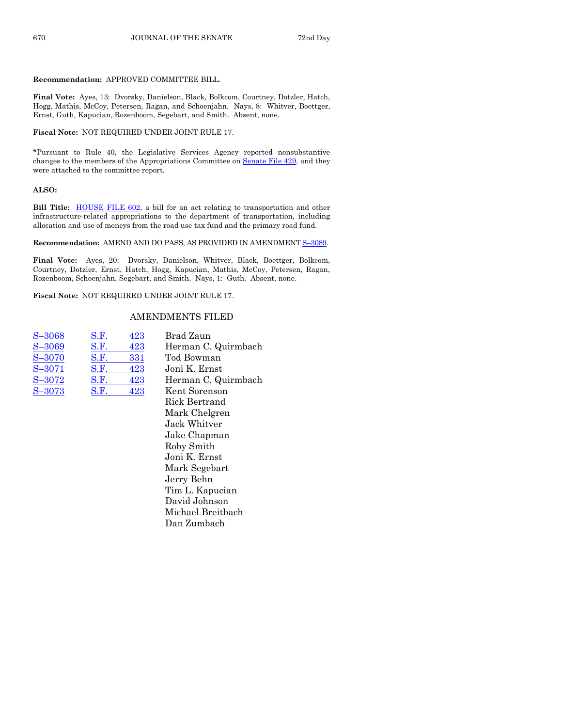# **Recommendation:** APPROVED COMMITTEE BILL.

**Final Vote:** Ayes, 13: Dvorsky, Danielson, Black, Bolkcom, Courtney, Dotzler, Hatch, Hogg, Mathis, McCoy, Petersen, Ragan, and Schoenjahn. Nays, 8: Whitver, Boettger, Ernst, Guth, Kapucian, Rozenboom, Segebart, and Smith. Absent, none.

# **Fiscal Note:** NOT REQUIRED UNDER JOINT RULE 17.

\*Pursuant to Rule 40, the Legislative Services Agency reported nonsubstantive changes to the members of the Appropriations Committee on Senate [File 429,](http://coolice.legis.state.ia.us/Cool-ICE/default.asp?Category=billinfo&Service=Billbook&frame=1&GA=85&hbill=SF429) and they were attached to the committee report.

# **ALSO:**

Bill Title: **HOUSE FILE 602**, a bill for an act relating to transportation and other infrastructure-related appropriations to the department of transportation, including allocation and use of moneys from the road use tax fund and the primary road fund.

# **Recommendation:** AMEND AND DO PASS, AS PROVIDED IN AMENDMENT **S-3089**.

**Final Vote:** Ayes, 20: Dvorsky, Danielson, Whitver, Black, Boettger, Bolkcom, Courtney, Dotzler, Ernst, Hatch, Hogg, Kapucian, Mathis, McCoy, Petersen, Ragan, Rozenboom, Schoenjahn, Segebart, and Smith. Nays, 1: Guth. Absent, none.

**Fiscal Note:** NOT REQUIRED UNDER JOINT RULE 17.

# AMENDMENTS FILED

| S-3068     | S.F. | 423 | Brad Zaun   |
|------------|------|-----|-------------|
| S-3069     | S.F. | 423 | Herman C.   |
| S-3070     | S.F. | 331 | Tod Bowm    |
| $S - 3071$ | S.F. | 423 | Joni K. Eri |
| $S - 3072$ | S.F. | 423 | Herman C.   |
| $S - 3073$ | S.F. | 423 | Kent Sorer  |
|            |      |     | . הדיד      |

an C. Quirmbach owman . Ernst an C. Quirmbach S–[3073](http://coolice.legis.state.ia.us/Cool-ICE/default.asp?Category=billinfo&Service=Billbook&frame=1&GA=85&hbill=S3073) [S.F.](http://coolice.legis.state.ia.us/Cool-ICE/default.asp?Category=billinfo&Service=Billbook&frame=1&GA=85&hbill=SF423) 423 Kent Sorenson Rick Bertrand Mark Chelgren Jack Whitver Jake Chapman Roby Smith Joni K. Ernst Mark Segebart Jerry Behn Tim L. Kapucian David Johnson Michael Breitbach Dan Zumbach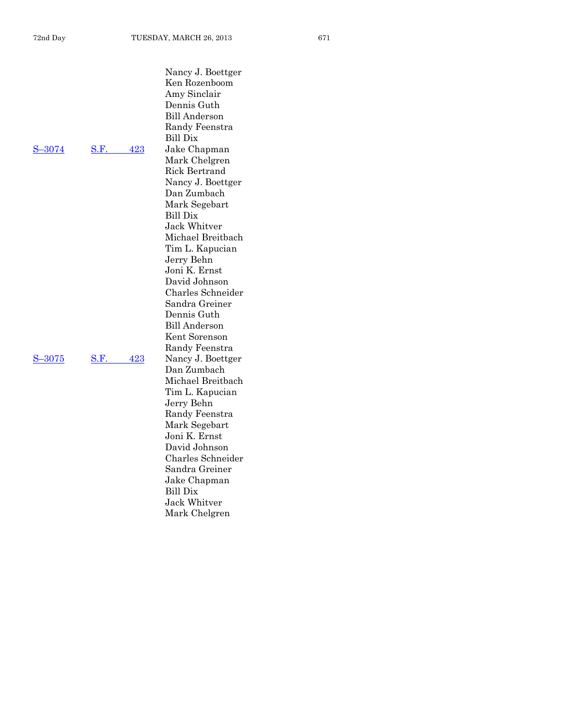| S-3074 | S.F | 423 |
|--------|-----|-----|
|        |     |     |

S –[3075](http://coolice.legis.state.ia.us/Cool-ICE/default.asp?Category=billinfo&Service=Billbook&frame=1&GA=85&hbill=S3075) S . F

Nancy J. Boettger Ken Rozenboom Amy Sinclair Dennis Guth Bill Anderson Randy Feenstra Bill Dix Jake Chapman Mark Chelgren Rick Bertrand Nancy J. Boettger Dan Zumbach Mark Segebart Bill Dix Jack Whitver Michael Breitbach Tim L. Kapucian Jerry Behn Joni K. Ernst David Johnson Charles Schneider Sandra Greiner Dennis Guth Bill Anderson Kent Sorenson Randy Feenstra [423](http://coolice.legis.state.ia.us/Cool-ICE/default.asp?Category=billinfo&Service=Billbook&frame=1&GA=85&hbill=SF423) Nancy J. Boettger Dan Zumbach Michael Breitbach Tim L. Kapucian Jerry Behn Randy Feenstra Mark Segebart Joni K. Ernst David Johnson Charles Schneider Sandra Greiner Jake Chapman Bill Dix Jack Whitver Mark Chelgren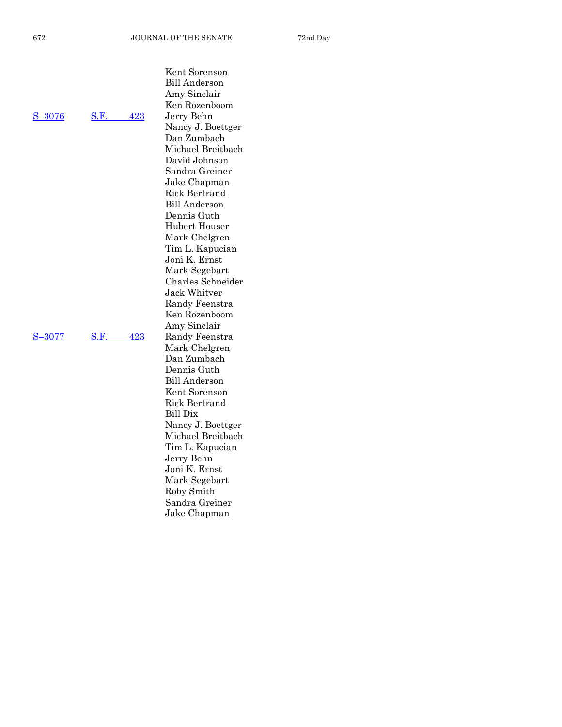|        |             | Kent Sorenson        |
|--------|-------------|----------------------|
|        |             | <b>Bill Anderson</b> |
|        |             | Amy Sinclair         |
|        |             | Ken Rozenboom        |
| S-3076 | S.F.<br>423 | Jerry Behn           |
|        |             | Nancy J. Boettger    |
|        |             | Dan Zumbach          |
|        |             | Michael Breitbach    |
|        |             | David Johnson        |
|        |             | Sandra Greiner       |
|        |             | Jake Chapman         |
|        |             | Rick Bertrand        |
|        |             | <b>Bill Anderson</b> |
|        |             | Dennis Guth          |
|        |             | Hubert Houser        |
|        |             | Mark Chelgren        |
|        |             | Tim L. Kapucian      |
|        |             | Joni K. Ernst        |
|        |             | Mark Segebart        |
|        |             | Charles Schneider    |
|        |             | Jack Whitver         |
|        |             | Randy Feenstra       |
|        |             | Ken Rozenboom        |
|        |             | Amy Sinclair         |
| S-3077 | S.F.<br>423 | Randy Feenstra       |
|        |             | Mark Chelgren        |
|        |             | Dan Zumbach          |
|        |             | Dennis Guth          |
|        |             | <b>Bill Anderson</b> |
|        |             | Kent Sorenson        |
|        |             | Rick Bertrand        |
|        |             | <b>Bill Dix</b>      |
|        |             | Nancy J. Boettger    |
|        |             | Michael Breitbach    |
|        |             | Tim L. Kapucian      |
|        |             | Jerry Behn           |
|        |             | Joni K. Ernst        |
|        |             | Mark Segebart        |
|        |             | Roby Smith           |
|        |             | Sandra Greiner       |

Jake Chapman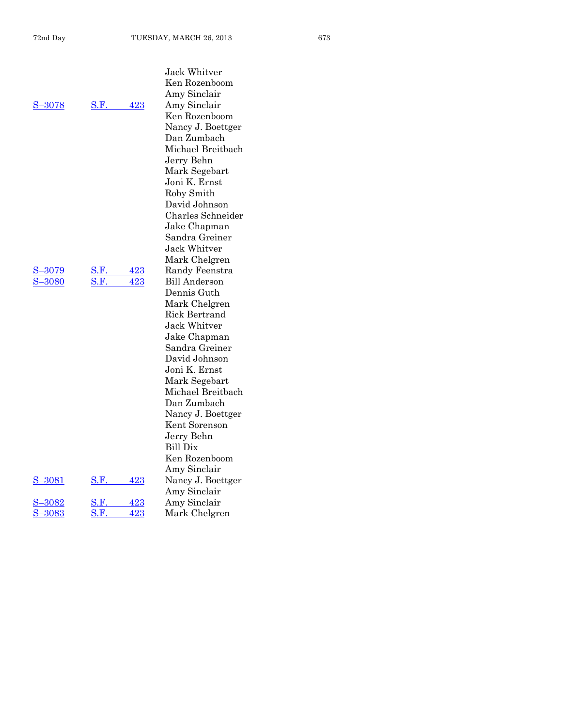Jack Whitver

|               |             |     | Ken Rozenboom                      |
|---------------|-------------|-----|------------------------------------|
|               |             |     | Amy Sinclair                       |
| S-3078        | S.F.        | 423 | Amy Sinclair                       |
|               |             |     | Ken Rozenboom                      |
|               |             |     | Nancy J. Boettger                  |
|               |             |     | Dan Zumbach                        |
|               |             |     | Michael Breitbach                  |
|               |             |     | Jerry Behn                         |
|               |             |     | Mark Segebart                      |
|               |             |     | Joni K. Ernst                      |
|               |             |     | Roby Smith                         |
|               |             |     |                                    |
|               |             |     | David Johnson<br>Charles Schneider |
|               |             |     |                                    |
|               |             |     | Jake Chapman                       |
|               |             |     | Sandra Greiner                     |
|               |             |     | Jack Whitver                       |
|               |             |     | Mark Chelgren                      |
| <u>-3079</u>  | S.F.        | 423 | Randy Feenstra                     |
| 3080          | S.F.        | 423 | <b>Bill Anderson</b>               |
|               |             |     | Dennis Guth                        |
|               |             |     | Mark Chelgren                      |
|               |             |     | Rick Bertrand                      |
|               |             |     | Jack Whitver                       |
|               |             |     | Jake Chapman                       |
|               |             |     | Sandra Greiner                     |
|               |             |     | David Johnson                      |
|               |             |     | Joni K. Ernst                      |
|               |             |     | Mark Segebart                      |
|               |             |     | Michael Breitbach                  |
|               |             |     | Dan Zumbach                        |
|               |             |     | Nancy J. Boettger                  |
|               |             |     | Kent Sorenson                      |
|               |             |     | Jerry Behn                         |
|               |             |     | Bill Dix                           |
|               |             |     | Ken Rozenboom                      |
|               |             |     | Amy Sinclair                       |
| <u>S-3081</u> | <b>S.F.</b> | 423 | Nancy J. Boettger                  |
|               |             |     | Amy Sinclair                       |
| <u>-3082</u>  | S.F.        | 423 | Amy Sinclair                       |
| 3083          | $\rm S.F$   | 423 | Mark Chelgren                      |